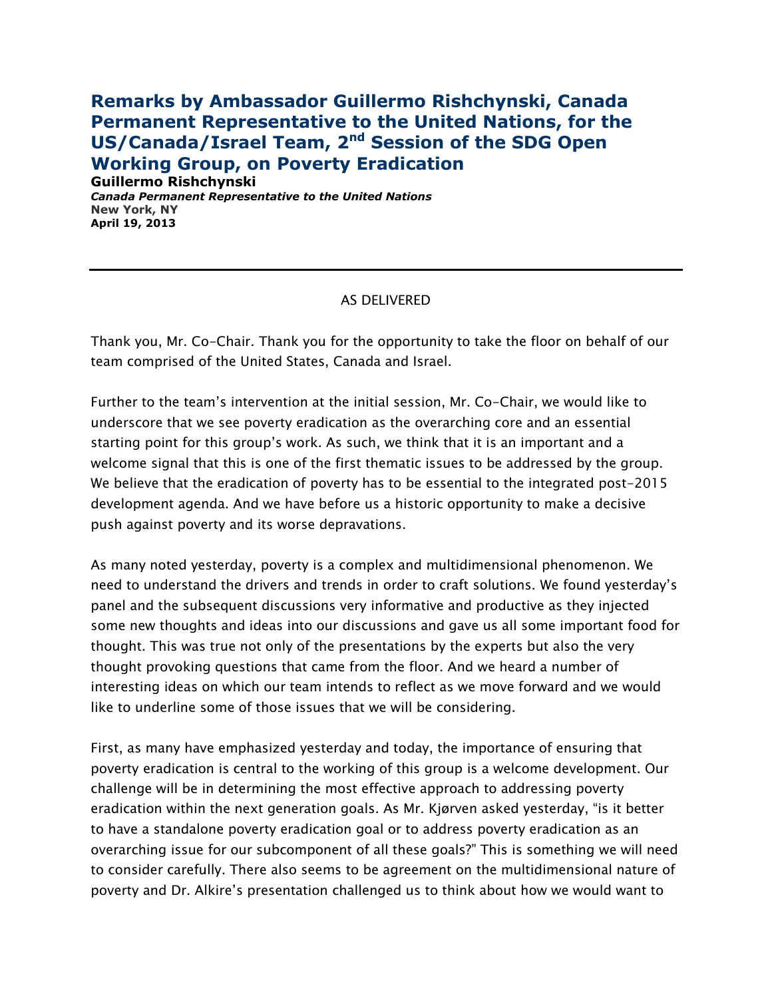## **Remarks by Ambassador Guillermo Rishchynski, Canada Permanent Representative to the United Nations, for the**  US/Canada/Israel Team, 2<sup>nd</sup> Session of the SDG Open **Working Group, on Poverty Eradication**

**Guillermo Rishchynski** *Canada Permanent Representative to the United Nations* **New York, NY April 19, 2013**

## AS DELIVERED

Thank you, Mr. Co-Chair. Thank you for the opportunity to take the floor on behalf of our team comprised of the United States, Canada and Israel.

Further to the team's intervention at the initial session, Mr. Co-Chair, we would like to underscore that we see poverty eradication as the overarching core and an essential starting point for this group's work. As such, we think that it is an important and a welcome signal that this is one of the first thematic issues to be addressed by the group. We believe that the eradication of poverty has to be essential to the integrated post-2015 development agenda. And we have before us a historic opportunity to make a decisive push against poverty and its worse depravations.

As many noted yesterday, poverty is a complex and multidimensional phenomenon. We need to understand the drivers and trends in order to craft solutions. We found yesterday's panel and the subsequent discussions very informative and productive as they injected some new thoughts and ideas into our discussions and gave us all some important food for thought. This was true not only of the presentations by the experts but also the very thought provoking questions that came from the floor. And we heard a number of interesting ideas on which our team intends to reflect as we move forward and we would like to underline some of those issues that we will be considering.

First, as many have emphasized yesterday and today, the importance of ensuring that poverty eradication is central to the working of this group is a welcome development. Our challenge will be in determining the most effective approach to addressing poverty eradication within the next generation goals. As Mr. Kjørven asked yesterday, "is it better to have a standalone poverty eradication goal or to address poverty eradication as an overarching issue for our subcomponent of all these goals?" This is something we will need to consider carefully. There also seems to be agreement on the multidimensional nature of poverty and Dr. Alkire's presentation challenged us to think about how we would want to